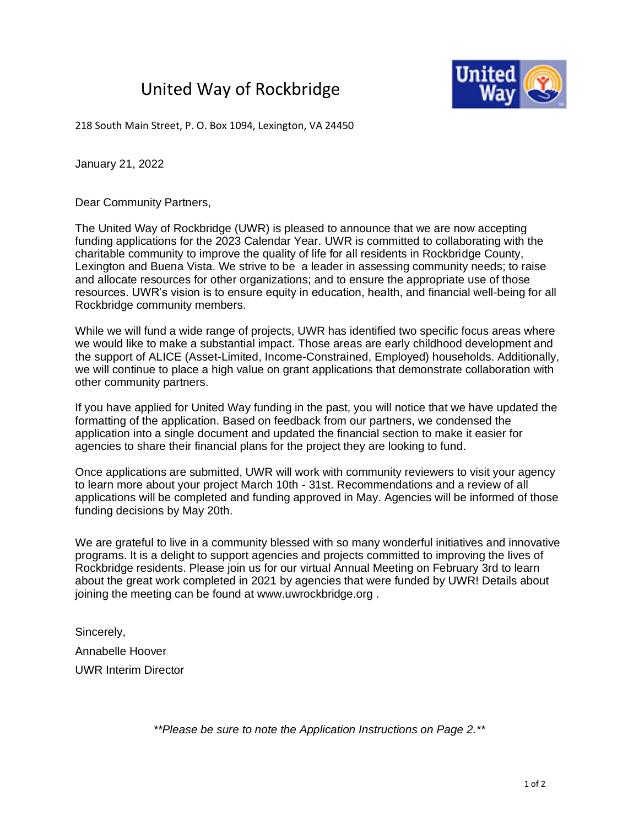## United Way of Rockbridge



218 South Main Street, P. O. Box 1094, Lexington, VA 24450

January 21, 2022

Dear Community Partners,

The United Way of Rockbridge (UWR) is pleased to announce that we are now accepting funding applications for the 2023 Calendar Year. UWR is committed to collaborating with the charitable community to improve the quality of life for all residents in Rockbridge County, Lexington and Buena Vista. We strive to be a leader in assessing community needs; to raise and allocate resources for other organizations; and to ensure the appropriate use of those resources. UWR's vision is to ensure equity in education, health, and financial well-being for all Rockbridge community members.

While we will fund a wide range of projects, UWR has identified two specific focus areas where we would like to make a substantial impact. Those areas are early childhood development and the support of ALICE (Asset-Limited, Income-Constrained, Employed) households. Additionally, we will continue to place a high value on grant applications that demonstrate collaboration with other community partners.

If you have applied for United Way funding in the past, you will notice that we have updated the formatting of the application. Based on feedback from our partners, we condensed the application into a single document and updated the financial section to make it easier for agencies to share their financial plans for the project they are looking to fund.

Once applications are submitted, UWR will work with community reviewers to visit your agency to learn more about your project March 10th - 31st. Recommendations and a review of all applications will be completed and funding approved in May. Agencies will be informed of those funding decisions by May 20th.

We are grateful to live in a community blessed with so many wonderful initiatives and innovative programs. It is a delight to support agencies and projects committed to improving the lives of Rockbridge residents. Please join us for our virtual Annual Meeting on February 3rd to learn about the great work completed in 2021 by agencies that were funded by UWR! Details about joining the meeting can be found at www.uwrockbridge.org .

Sincerely, Annabelle Hoover UWR Interim Director

*\*\*Please be sure to note the Application Instructions on Page 2.\*\**